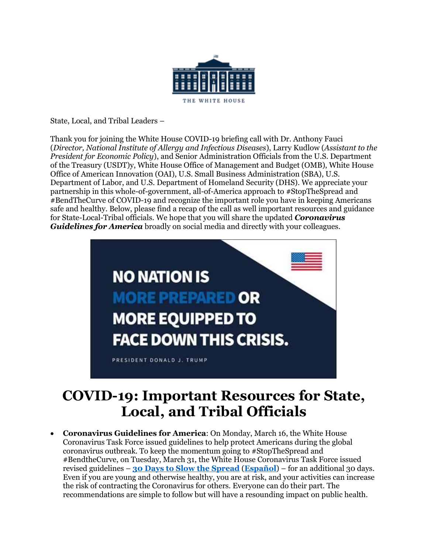

State, Local, and Tribal Leaders –

Thank you for joining the White House COVID-19 briefing call with Dr. Anthony Fauci (*Director, National Institute of Allergy and Infectious Diseases*), Larry Kudlow (*Assistant to the President for Economic Policy*), and Senior Administration Officials from the U.S. Department of the Treasury (USDT)y, White House Office of Management and Budget (OMB), White House Office of American Innovation (OAI), U.S. Small Business Administration (SBA), U.S. Department of Labor, and U.S. Department of Homeland Security (DHS). We appreciate your partnership in this whole-of-government, all-of-America approach to #StopTheSpread and #BendTheCurve of COVID-19 and recognize the important role you have in keeping Americans safe and healthy. Below, please find a recap of the call as well important resources and guidance for State-Local-Tribal officials. We hope that you will share the updated *Coronavirus Guidelines for America* broadly on social media and directly with your colleagues.



# **COVID-19: Important Resources for State, Local, and Tribal Officials**

• **Coronavirus Guidelines for America**: On Monday, March 16, the White House Coronavirus Task Force issued guidelines to help protect Americans during the global coronavirus outbreak. To keep the momentum going to #StopTheSpread and #BendtheCurve, on Tuesday, March 31, the White House Coronavirus Task Force issued revised guidelines – **30 Days [to Slow the Spread](https://www.whitehouse.gov/wp-content/uploads/2020/03/03.16.20_coronavirus-guidance_8.5x11_315PM.pdf)** (**[Español](https://www.whitehouse.gov/wp-content/uploads/2020/03/DIRECTRICES-DEL-PRESIDENTE-SOBRE-EL-CORONAVIRUS.pdf)**) – for an additional 30 days. Even if you are young and otherwise healthy, you are at risk, and your activities can increase the risk of contracting the Coronavirus for others. Everyone can do their part. The recommendations are simple to follow but will have a resounding impact on public health.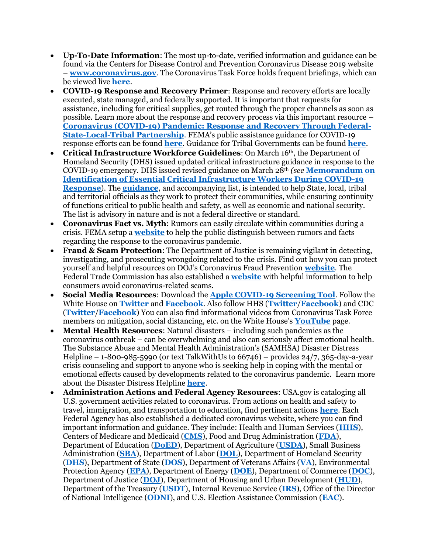- **Up-To-Date Information**: The most up-to-date, verified information and guidance can be found via the Centers for Disease Control and Prevention Coronavirus Disease 2019 website – **[www.coronavirus.gov](http://www.coronavirus.gov/)**. The Coronavirus Task Force holds frequent briefings, which can be viewed live **[here](https://www.whitehouse.gov/live/)**.
- **COVID-19 Response and Recovery Primer**: Response and recovery efforts are locally executed, state managed, and federally supported. It is important that requests for assistance, including for critical supplies, get routed through the proper channels as soon as possible. Learn more about the response and recovery process via this important resource – **[Coronavirus \(COVID-19\) Pandemic: Response and Recovery Through Federal-](https://www.whitehouse.gov/wp-content/uploads/2020/03/COVID-Response-and-Recovery-Guidance.pdf)[State-Local-Tribal Partnership](https://www.whitehouse.gov/wp-content/uploads/2020/03/COVID-Response-and-Recovery-Guidance.pdf)**. FEMA's public assistance guidance for COVID-19 response efforts can be found **[here](https://www.fema.gov/news-release/2020/03/19/coronavirus-covid-19-pandemic-eligible-emergency-protective-measures)**. Guidance for Tribal Governments can be found **[here](https://www.fema.gov/news-release/2020/03/26/coronavirus-covid-19-fema-assistance-tribal-governments)**.
- **Critical Infrastructure Workforce Guidelines**: On March 16th, the Department of Homeland Security (DHS) issued updated critical infrastructure guidance in response to the COVID-19 emergency. DHS issued revised guidance on March 28th *(see* **[Memorandum on](https://www.cisa.gov/publication/guidance-essential-critical-infrastructure-workforce)  [Identification of Essential Critical Infrastructure Workers During COVID-19](https://www.cisa.gov/publication/guidance-essential-critical-infrastructure-workforce)  [Response](https://www.cisa.gov/publication/guidance-essential-critical-infrastructure-workforce)**). The **[guidance](https://www.cisa.gov/identifying-critical-infrastructure-during-covid-19)**, and accompanying list, is intended to help State, local, tribal and territorial officials as they work to protect their communities, while ensuring continuity of functions critical to public health and safety, as well as economic and national security. The list is advisory in nature and is not a federal directive or standard.
- **Coronavirus Fact vs. Myth**: Rumors can easily circulate within communities during a crisis. FEMA setup a **[website](https://www.fema.gov/coronavirus-rumor-control)** to help the public distinguish between rumors and facts regarding the response to the coronavirus pandemic.
- **Fraud & Scam Protection:** The Department of Justice is remaining vigilant in detecting, investigating, and prosecuting wrongdoing related to the crisis. Find out how you can protect yourself and helpful resources on DOJ's Coronavirus Fraud Prevention **[website](https://www.justice.gov/coronavirus)**. The Federal Trade Commission has also established a **[website](https://www.consumer.ftc.gov/features/coronavirus-scams-what-ftc-doing)** with helpful information to help consumers avoid coronavirus-related scams.
- **Social Media Resources**: Download the **[Apple COVID-19 Screening Tool](https://www.apple.com/covid19)**. Follow the White House on **[Twitter](https://twitter.com/WhiteHouse/)** and **[Facebook](https://www.facebook.com/WhiteHouse/)**. Also follow HHS (**[Twitter](https://twitter.com/HHSGov)**/**[Facebook](https://www.facebook.com/HHS/)**) and CDC (**[Twitter](https://twitter.com/CDCgov)**/**[Facebook](https://www.facebook.com/CDC)**) You can also find informational videos from Coronavirus Task Force members on mitigation, social distancing, etc. on the White House's **[YouTube](https://www.youtube.com/channel/UCYxRlFDqcWM4y7FfpiAN3KQ)** page.
- **Mental Health Resources**: Natural disasters including such pandemics as the coronavirus outbreak – can be overwhelming and also can seriously affect emotional health. The Substance Abuse and Mental Health Administration's (SAMHSA) Disaster Distress Helpline – 1-800-985-5990 (or text TalkWithUs to  $66746$ ) – provides 24/7, 365-day-a-year crisis counseling and support to anyone who is seeking help in coping with the mental or emotional effects caused by developments related to the coronavirus pandemic. Learn more about the Disaster Distress Helpline **[here](https://www.samhsa.gov/find-help/disaster-distress-helpline)**.
- **Administration Actions and Federal Agency Resources**: USA.gov is cataloging all U.S. government activities related to coronavirus. From actions on health and safety to travel, immigration, and transportation to education, find pertinent actions **[here](https://www.usa.gov/coronavirus)**. Each Federal Agency has also established a dedicated coronavirus website, where you can find important information and guidance. They include: Health and Human Services (**[HHS](https://www.cdc.gov/coronavirus/2019-ncov/index.html)**), Centers of Medicare and Medicaid (**[CMS](https://www.cms.gov/medicare/quality-safety-oversight-general-information/coronavirus)**), Food and Drug Administration (**[FDA](https://www.fda.gov/emergency-preparedness-and-response/mcm-issues/coronavirus-disease-2019-covid-19)**), Department of Education (**[DoED](https://www.ed.gov/coronavirus)**), Department of Agriculture (**[USDA](https://www.usda.gov/coronavirus)**), Small Business Administration (**[SBA](https://www.sba.gov/page/guidance-businesses-employers-plan-respond-coronavirus-disease-2019-covid-19)**), Department of Labor (**[DOL](https://www.osha.gov/SLTC/covid-19/)**), Department of Homeland Security (**[DHS](https://www.dhs.gov/publication/notices-arrival-restrictions-coronavirus)**), Department of State (**[DOS](https://travel.state.gov/content/travel/en/traveladvisories/ea/novel-coronavirus-hubei-province--china.html)**), Department of Veterans Affairs (**[VA](https://www.publichealth.va.gov/n-coronavirus/index.asp)**), Environmental Protection Agency (**[EPA](https://www.epa.gov/coronavirus)**), Department of Energy (**[DOE](https://www.energy.gov/listings/energy-news)**), Department of Commerce (**[DOC](https://www.commerce.gov/news)**), Department of Justice (**[DOJ](https://www.justice.gov/news)**), Department of Housing and Urban Development (**[HUD](https://www.hud.gov/press/press_releases_media_advisories)**), Department of the Treasury (**[USDT](https://home.treasury.gov/news/press-releases/sm951)**), Internal Revenue Service (**[IRS](https://www.irs.gov/coronavirus)**), Office of the Director of National Intelligence (**[ODNI](https://www.dni.gov/index.php/newsroom/news-articles/item/2106-coronavirus)**), and U.S. Election Assistance Commission (**[EAC](https://www.eac.gov/election-officials/coronavirus-covid-19-resources)**).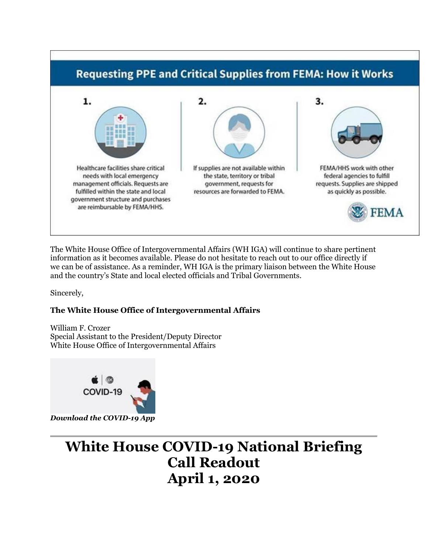

The White House Office of Intergovernmental Affairs (WH IGA) will continue to share pertinent information as it becomes available. Please do not hesitate to reach out to our office directly if we can be of assistance. As a reminder, WH IGA is the primary liaison between the White House and the country's State and local elected officials and Tribal Governments.

Sincerely,

## **The White House Office of Intergovernmental Affairs**

William F. Crozer Special Assistant to the President/Deputy Director White House Office of Intergovernmental Affairs



# **White House COVID-19 National Briefing Call Readout April 1, 2020**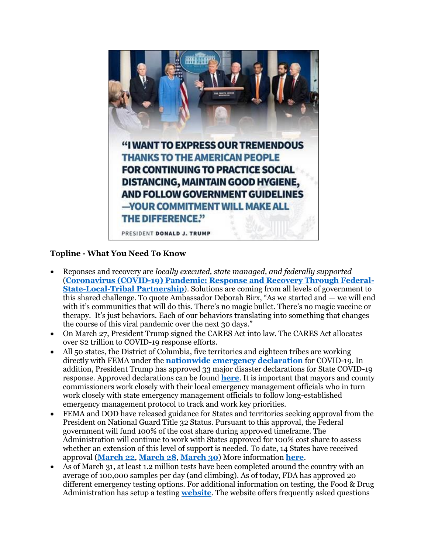

## **Topline - What You Need To Know**

- Reponses and recovery are *locally executed, state managed, and federally supported*  (**[Coronavirus \(COVID-19\) Pandemic: Response and Recovery Through Federal-](https://www.whitehouse.gov/wp-content/uploads/2020/03/COVID-Response-and-Recovery-Guidance.pdf)[State-Local-Tribal Partnership](https://www.whitehouse.gov/wp-content/uploads/2020/03/COVID-Response-and-Recovery-Guidance.pdf)**). Solutions are coming from all levels of government to this shared challenge. To quote Ambassador Deborah Birx, "As we started and — we will end with it's communities that will do this. There's no magic bullet. There's no magic vaccine or therapy. It's just behaviors. Each of our behaviors translating into something that changes the course of this viral pandemic over the next 30 days."
- On March 27, President Trump signed the CARES Act into law. The CARES Act allocates over \$2 trillion to COVID-19 response efforts.
- All 50 states, the District of Columbia, five territories and eighteen tribes are working directly with FEMA under the **[nationwide emergency declaration](https://www.whitehouse.gov/presidential-actions/proclamation-declaring-national-emergency-concerning-novel-coronavirus-disease-covid-19-outbreak/)** for COVID-19. In addition, President Trump has approved 33 major disaster declarations for State COVID-19 response. Approved declarations can be found **[here](https://www.fema.gov/disasters)**. It is important that mayors and county commissioners work closely with their local emergency management officials who in turn work closely with state emergency management officials to follow long-established emergency management protocol to track and work key priorities.
- FEMA and DOD have released guidance for States and territories seeking approval from the President on National Guard Title 32 Status. Pursuant to this approval, the Federal government will fund 100% of the cost share during approved timeframe. The Administration will continue to work with States approved for 100% cost share to assess whether an extension of this level of support is needed. To date, 14 States have received approval (**[March 22](https://www.whitehouse.gov/presidential-actions/memorandum-providing-federal-support-governors-use-national-guard-respond-covid-19/)**, **[March 28](https://www.whitehouse.gov/presidential-actions/memorandum-providing-federal-support-governors-use-national-guard-respond-covid-19-2/)**, **[March 30](https://www.whitehouse.gov/presidential-actions/memorandum-providing-federal-support-governors-use-national-guard-respond-covid-19-3/)**) More information **[here](https://www.fema.gov/national-guard-title-32-status)**.
- As of March 31, at least 1.2 million tests have been completed around the country with an average of 100,000 samples per day (and climbing). As of today, FDA has approved 20 different emergency testing options. For additional information on testing, the Food & Drug Administration has setup a testing **[website](https://www.fda.gov/medical-devices/emergency-situations-medical-devices/faqs-diagnostic-testing-sars-cov-2)**. The website offers frequently asked questions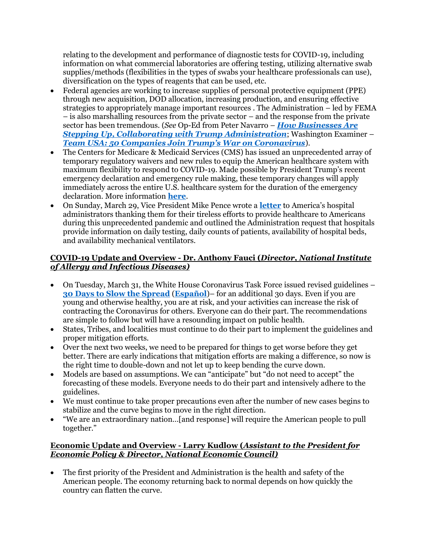relating to the development and performance of diagnostic tests for COVID-19, including information on what commercial laboratories are offering testing, utilizing alternative swab supplies/methods (flexibilities in the types of swabs your healthcare professionals can use), diversification on the types of reagents that can be used, etc.

- Federal agencies are working to increase supplies of personal protective equipment (PPE) through new acquisition, DOD allocation, increasing production, and ensuring effective strategies to appropriately manage important resources . The Administration – led by FEMA – is also marshalling resources from the private sector – and the response from the private sector has been tremendous. (*See* Op-Ed from Peter Navarro – *[How Businesses Are](https://www.foxnews.com/opinion/coronavirus-businesses-trump-administration-peter-navarro)  [Stepping Up, Collaborating with Trump Administration](https://www.foxnews.com/opinion/coronavirus-businesses-trump-administration-peter-navarro)*; Washington Examiner – *[Team USA: 50 Companies Join Trump's War on Coronavirus](https://www.washingtonexaminer.com/washington-secrets/team-usa-50-companies-join-trumps-war-on-coronavirus)*).
- The Centers for Medicare & Medicaid Services (CMS) has issued an unprecedented array of temporary regulatory waivers and new rules to equip the American healthcare system with maximum flexibility to respond to COVID-19. Made possible by President Trump's recent emergency declaration and emergency rule making, these temporary changes will apply immediately across the entire U.S. healthcare system for the duration of the emergency declaration. More information **[here](https://www.cms.gov/newsroom/fact-sheets/additional-backgroundsweeping-regulatory-changes-help-us-healthcare-system-address-covid-19-patient)**.
- On Sunday, March 29, Vice President Mike Pence wrote a **[letter](https://www.whitehouse.gov/briefings-statements/text-letter-vice-president-hospital-administrators/)** to America's hospital administrators thanking them for their tireless efforts to provide healthcare to Americans during this unprecedented pandemic and outlined the Administration request that hospitals provide information on daily testing, daily counts of patients, availability of hospital beds, and availability mechanical ventilators.

#### **COVID-19 Update and Overview - Dr. Anthony Fauci (***Director, National Institute of Allergy and Infectious Diseases)*

- On Tuesday, March 31, the White House Coronavirus Task Force issued revised guidelines **[30 Days to Slow the Spread](https://www.whitehouse.gov/wp-content/uploads/2020/03/03.16.20_coronavirus-guidance_8.5x11_315PM.pdf)** (**[Español](https://www.whitehouse.gov/wp-content/uploads/2020/03/DIRECTRICES-DEL-PRESIDENTE-SOBRE-EL-CORONAVIRUS.pdf)**)– for an additional 30 days. Even if you are young and otherwise healthy, you are at risk, and your activities can increase the risk of contracting the Coronavirus for others. Everyone can do their part. The recommendations are simple to follow but will have a resounding impact on public health.
- States, Tribes, and localities must continue to do their part to implement the guidelines and proper mitigation efforts.
- Over the next two weeks, we need to be prepared for things to get worse before they get better. There are early indications that mitigation efforts are making a difference, so now is the right time to double-down and not let up to keep bending the curve down.
- Models are based on assumptions. We can "anticipate" but "do not need to accept" the forecasting of these models. Everyone needs to do their part and intensively adhere to the guidelines.
- We must continue to take proper precautions even after the number of new cases begins to stabilize and the curve begins to move in the right direction.
- "We are an extraordinary nation…[and response] will require the American people to pull together."

#### **Economic Update and Overview - Larry Kudlow (***Assistant to the President for Economic Policy & Director, National Economic Council)*

• The first priority of the President and Administration is the health and safety of the American people. The economy returning back to normal depends on how quickly the country can flatten the curve.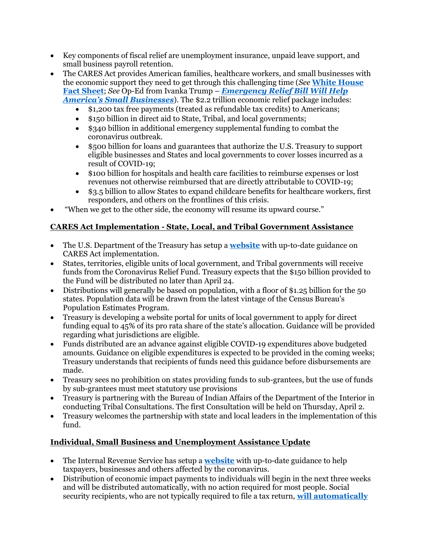- Key components of fiscal relief are unemployment insurance, unpaid leave support, and small business payroll retention.
- The CARES Act provides American families, healthcare workers, and small businesses with the economic support they need to get through this challenging time (*See* **[White House](https://www.whitehouse.gov/briefings-statements/president-donald-j-trump-providing-economic-relief-american-workers-families-businesses-impacted-coronavirus/)  [Fact Sheet](https://www.whitehouse.gov/briefings-statements/president-donald-j-trump-providing-economic-relief-american-workers-families-businesses-impacted-coronavirus/)**; *See* Op-Ed from Ivanka Trump – *[Emergency Relief Bill Will Help](https://www.kansascity.com/opinion/readers-opinion/guest-commentary/article241590151.html)  [America's Small Businesse](https://www.kansascity.com/opinion/readers-opinion/guest-commentary/article241590151.html)s*). The \$2.2 trillion economic relief package includes:
	- \$1,200 tax free payments (treated as refundable tax credits) to Americans;
	- \$150 billion in direct aid to State, Tribal, and local governments;
	- \$340 billion in additional emergency supplemental funding to combat the coronavirus outbreak.
	- \$500 billion for loans and guarantees that authorize the U.S. Treasury to support eligible businesses and States and local governments to cover losses incurred as a result of COVID-19;
	- \$100 billion for hospitals and health care facilities to reimburse expenses or lost revenues not otherwise reimbursed that are directly attributable to COVID-19;
	- \$3.5 billion to allow States to expand childcare benefits for healthcare workers, first responders, and others on the frontlines of this crisis.
- "When we get to the other side, the economy will resume its upward course."

## **CARES Act Implementation - State, Local, and Tribal Government Assistance**

- The U.S. Department of the Treasury has setup a **[website](https://home.treasury.gov/cares)** with up-to-date guidance on CARES Act implementation.
- States, territories, eligible units of local government, and Tribal governments will receive funds from the Coronavirus Relief Fund. Treasury expects that the \$150 billion provided to the Fund will be distributed no later than April 24.
- Distributions will generally be based on population, with a floor of \$1.25 billion for the 50 states. Population data will be drawn from the latest vintage of the Census Bureau's Population Estimates Program.
- Treasury is developing a website portal for units of local government to apply for direct funding equal to 45% of its pro rata share of the state's allocation. Guidance will be provided regarding what jurisdictions are eligible.
- Funds distributed are an advance against eligible COVID-19 expenditures above budgeted amounts. Guidance on eligible expenditures is expected to be provided in the coming weeks; Treasury understands that recipients of funds need this guidance before disbursements are made.
- Treasury sees no prohibition on states providing funds to sub-grantees, but the use of funds by sub-grantees must meet statutory use provisions
- Treasury is partnering with the Bureau of Indian Affairs of the Department of the Interior in conducting Tribal Consultations. The first Consultation will be held on Thursday, April 2.
- Treasury welcomes the partnership with state and local leaders in the implementation of this fund.

## **Individual, Small Business and Unemployment Assistance Update**

- The Internal Revenue Service has setup a **[website](https://www.irs.gov/coronavirus)** with up-to-date guidance to help taxpayers, businesses and others affected by the coronavirus.
- Distribution of economic impact payments to individuals will begin in the next three weeks and will be distributed automatically, with no action required for most people. Social security recipients, who are not typically required to file a tax return, **[will automatically](https://home.treasury.gov/news/press-releases/sm967)**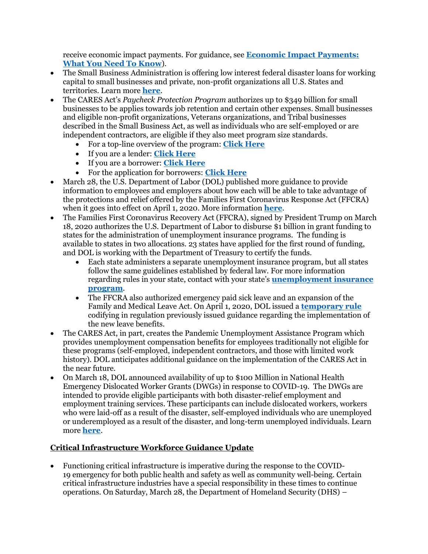receive economic impact payments. For guidance, see **[Economic Impact Payments:](https://www.irs.gov/newsroom/economic-impact-payments-what-you-need-to-know)  [What You Need To Know](https://www.irs.gov/newsroom/economic-impact-payments-what-you-need-to-know)**).

- The Small Business Administration is offering low interest federal disaster loans for working capital to small businesses and private, non-profit organizations all U.S. States and territories. Learn more **[here](https://www.sba.gov/disaster-assistance/coronavirus-covid-19)**.
- The CARES Act's *Paycheck Protection Program* authorizes up to \$349 billion for small businesses to be applies towards job retention and certain other expenses. Small businesses and eligible non-profit organizations, Veterans organizations, and Tribal businesses described in the Small Business Act, as well as individuals who are self-employed or are independent contractors, are eligible if they also meet program size standards.
	- For a top-line overview of the program: **[Click Here](https://home.treasury.gov/system/files/136/PPP%20--%20Overview.pdf)**
	- If you are a lender: **[Click Here](https://home.treasury.gov/system/files/136/PPP%20Lender%20Information%20Fact%20Sheet.pdf)**
	- If you are a borrower: **[Click Here](https://home.treasury.gov/system/files/136/PPP--Fact-Sheet.pdf)**
	- For the application for borrowers: **[Click Here](https://home.treasury.gov/system/files/136/Paycheck-Protection-Program-Application-3-30-2020-v3.pdf)**
- March 28, the U.S. Department of Labor (DOL) published more guidance to provide information to employees and employers about how each will be able to take advantage of the protections and relief offered by the Families First Coronavirus Response Act (FFCRA) when it goes into effect on April 1, 2020. More information **[here](https://www.dol.gov/newsroom/releases/whd/whd20200328)**.
- The Families First Coronavirus Recovery Act (FFCRA), signed by President Trump on March 18, 2020 authorizes the U.S. Department of Labor to disburse \$1 billion in grant funding to states for the administration of unemployment insurance programs. The funding is available to states in two allocations. 23 states have applied for the first round of funding, and DOL is working with the Department of Treasury to certify the funds.
	- Each state administers a separate unemployment insurance program, but all states follow the same guidelines established by federal law. For more information regarding rules in your state, contact with your state's **[unemployment insurance](https://www.careeronestop.org/LocalHelp/UnemploymentBenefits/find-unemployment-benefits.aspx)  [program](https://www.careeronestop.org/LocalHelp/UnemploymentBenefits/find-unemployment-benefits.aspx)**.
	- The FFCRA also authorized emergency paid sick leave and an expansion of the Family and Medical Leave Act. On April 1, 2020, DOL issued a **[temporary rule](https://www.dol.gov/sites/dolgov/files/WHD/Pandemic/FFCRA.pdf)** codifying in regulation previously issue[d guidance](https://www.dol.gov/agencies/whd/pandemic) regarding the implementation of the new leave benefits.
- The CARES Act, in part, creates the Pandemic Unemployment Assistance Program which provides unemployment compensation benefits for employees traditionally not eligible for these programs (self-employed, independent contractors, and those with limited work history). DOL anticipates additional guidance on the implementation of the CARES Act in the near future.
- On March 18, DOL announced availability of up to \$100 Million in National Health Emergency Dislocated Worker Grants (DWGs) in response to COVID-19. The DWGs are intended to provide eligible participants with both disaster-relief employment and employment training services. These participants can include dislocated workers, workers who were laid-off as a result of the disaster, self-employed individuals who are unemployed or underemployed as a result of the disaster, and long-term unemployed individuals. Learn more **[here](https://www.dol.gov/newsroom/releases/eta/eta20200318)**.

## **Critical Infrastructure Workforce Guidance Update**

• Functioning critical infrastructure is imperative during the response to the [COVID-](https://www.cisa.gov/coronavirus)[19](https://www.cisa.gov/coronavirus) emergency for both public health and safety as well as community well-being. Certain critical infrastructure industries have a special responsibility in these times to continue operations. On Saturday, March 28, the Department of Homeland Security (DHS) –